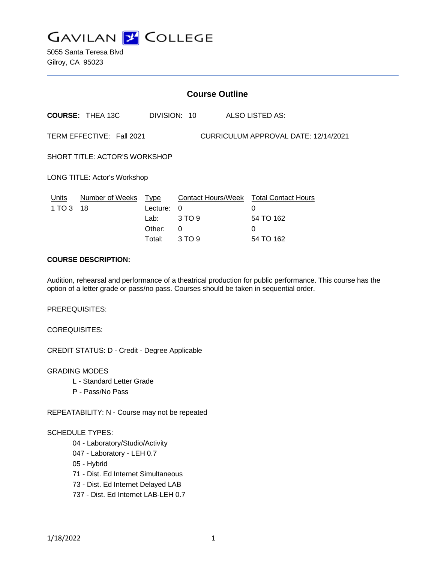

5055 Santa Teresa Blvd Gilroy, CA 95023

|                                                                   | <b>Course Outline</b>   |                                                     |                            |                                                                            |  |
|-------------------------------------------------------------------|-------------------------|-----------------------------------------------------|----------------------------|----------------------------------------------------------------------------|--|
|                                                                   | <b>COURSE: THEA 13C</b> |                                                     | DIVISION: 10               | ALSO LISTED AS:                                                            |  |
| TERM EFFECTIVE: Fall 2021<br>CURRICULUM APPROVAL DATE: 12/14/2021 |                         |                                                     |                            |                                                                            |  |
| SHORT TITLE: ACTOR'S WORKSHOP                                     |                         |                                                     |                            |                                                                            |  |
| LONG TITLE: Actor's Workshop                                      |                         |                                                     |                            |                                                                            |  |
| Units<br>1 TO 3                                                   | Number of Weeks<br>18   | <u>Type</u><br>Lecture:<br>Lab:<br>Other:<br>Total: | 0<br>3 TO 9<br>0<br>3 TO 9 | Contact Hours/Week Total Contact Hours<br>0<br>54 TO 162<br>0<br>54 TO 162 |  |

## **COURSE DESCRIPTION:**

Audition, rehearsal and performance of a theatrical production for public performance. This course has the option of a letter grade or pass/no pass. Courses should be taken in sequential order.

PREREQUISITES:

COREQUISITES:

CREDIT STATUS: D - Credit - Degree Applicable

GRADING MODES

- L Standard Letter Grade
- P Pass/No Pass

REPEATABILITY: N - Course may not be repeated

#### SCHEDULE TYPES:

- 04 Laboratory/Studio/Activity
- 047 Laboratory LEH 0.7
- 05 Hybrid
- 71 Dist. Ed Internet Simultaneous
- 73 Dist. Ed Internet Delayed LAB
- 737 Dist. Ed Internet LAB-LEH 0.7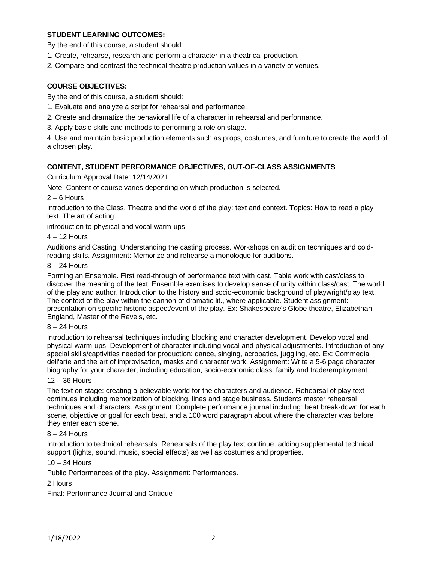# **STUDENT LEARNING OUTCOMES:**

By the end of this course, a student should:

- 1. Create, rehearse, research and perform a character in a theatrical production.
- 2. Compare and contrast the technical theatre production values in a variety of venues.

# **COURSE OBJECTIVES:**

By the end of this course, a student should:

- 1. Evaluate and analyze a script for rehearsal and performance.
- 2. Create and dramatize the behavioral life of a character in rehearsal and performance.
- 3. Apply basic skills and methods to performing a role on stage.

4. Use and maintain basic production elements such as props, costumes, and furniture to create the world of a chosen play.

### **CONTENT, STUDENT PERFORMANCE OBJECTIVES, OUT-OF-CLASS ASSIGNMENTS**

Curriculum Approval Date: 12/14/2021

Note: Content of course varies depending on which production is selected.

 $2 - 6$  Hours

Introduction to the Class. Theatre and the world of the play: text and context. Topics: How to read a play text. The art of acting:

introduction to physical and vocal warm-ups.

4 – 12 Hours

Auditions and Casting. Understanding the casting process. Workshops on audition techniques and coldreading skills. Assignment: Memorize and rehearse a monologue for auditions.

### 8 – 24 Hours

Forming an Ensemble. First read-through of performance text with cast. Table work with cast/class to discover the meaning of the text. Ensemble exercises to develop sense of unity within class/cast. The world of the play and author. Introduction to the history and socio-economic background of playwright/play text. The context of the play within the cannon of dramatic lit., where applicable. Student assignment: presentation on specific historic aspect/event of the play. Ex: Shakespeare's Globe theatre, Elizabethan England, Master of the Revels, etc.

#### 8 – 24 Hours

Introduction to rehearsal techniques including blocking and character development. Develop vocal and physical warm-ups. Development of character including vocal and physical adjustments. Introduction of any special skills/captivities needed for production: dance, singing, acrobatics, juggling, etc. Ex: Commedia dell'arte and the art of improvisation, masks and character work. Assignment: Write a 5-6 page character biography for your character, including education, socio-economic class, family and trade/employment.

# 12 – 36 Hours

The text on stage: creating a believable world for the characters and audience. Rehearsal of play text continues including memorization of blocking, lines and stage business. Students master rehearsal techniques and characters. Assignment: Complete performance journal including: beat break-down for each scene, objective or goal for each beat, and a 100 word paragraph about where the character was before they enter each scene.

#### 8 – 24 Hours

Introduction to technical rehearsals. Rehearsals of the play text continue, adding supplemental technical support (lights, sound, music, special effects) as well as costumes and properties.

### 10 – 34 Hours

Public Performances of the play. Assignment: Performances.

## 2 Hours

Final: Performance Journal and Critique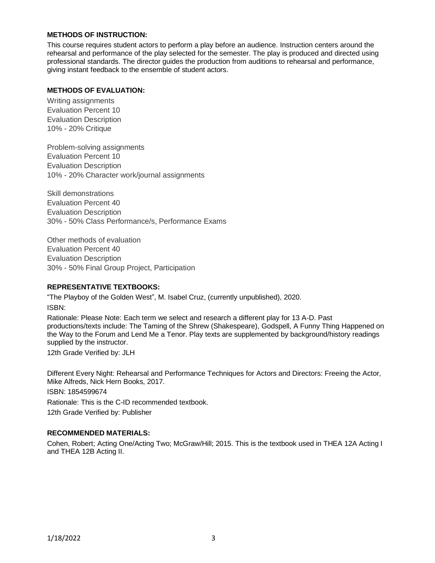# **METHODS OF INSTRUCTION:**

This course requires student actors to perform a play before an audience. Instruction centers around the rehearsal and performance of the play selected for the semester. The play is produced and directed using professional standards. The director guides the production from auditions to rehearsal and performance, giving instant feedback to the ensemble of student actors.

## **METHODS OF EVALUATION:**

Writing assignments Evaluation Percent 10 Evaluation Description 10% - 20% Critique

Problem-solving assignments Evaluation Percent 10 Evaluation Description 10% - 20% Character work/journal assignments

Skill demonstrations Evaluation Percent 40 Evaluation Description 30% - 50% Class Performance/s, Performance Exams

Other methods of evaluation Evaluation Percent 40 Evaluation Description 30% - 50% Final Group Project, Participation

## **REPRESENTATIVE TEXTBOOKS:**

"The Playboy of the Golden West", M. Isabel Cruz, (currently unpublished), 2020. ISBN:

Rationale: Please Note: Each term we select and research a different play for 13 A-D. Past productions/texts include: The Taming of the Shrew (Shakespeare), Godspell, A Funny Thing Happened on the Way to the Forum and Lend Me a Tenor. Play texts are supplemented by background/history readings supplied by the instructor.

12th Grade Verified by: JLH

Different Every Night: Rehearsal and Performance Techniques for Actors and Directors: Freeing the Actor, Mike Alfreds, Nick Hern Books, 2017.

ISBN: 1854599674 Rationale: This is the C-ID recommended textbook. 12th Grade Verified by: Publisher

## **RECOMMENDED MATERIALS:**

Cohen, Robert; Acting One/Acting Two; McGraw/Hill; 2015. This is the textbook used in THEA 12A Acting I and THEA 12B Acting II.